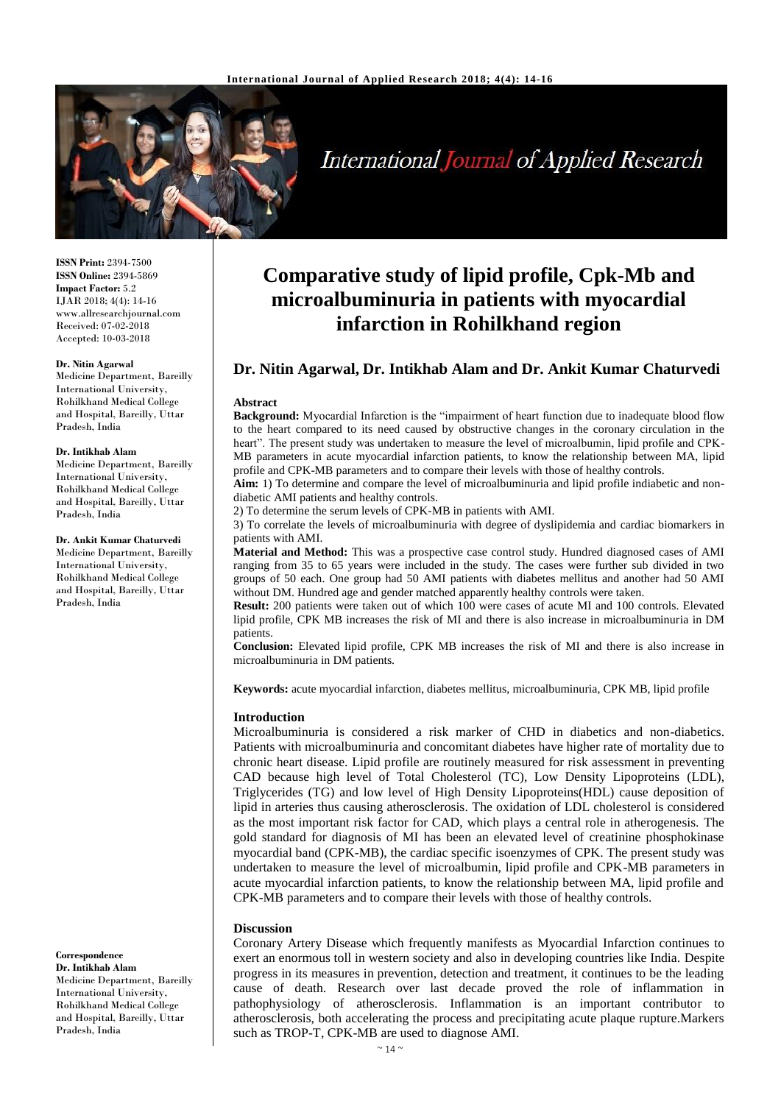

# **International Journal of Applied Research**

**ISSN Print:** 2394-7500 **ISSN Online:** 2394-5869 **Impact Factor:** 5.2 IJAR 2018; 4(4): 14-16 www.allresearchjournal.com Received: 07-02-2018 Accepted: 10-03-2018

#### **Dr. Nitin Agarwal**

Medicine Department, Bareilly International University, Rohilkhand Medical College and Hospital, Bareilly, Uttar Pradesh, India

#### **Dr. Intikhab Alam**

Medicine Department, Bareilly International University, Rohilkhand Medical College and Hospital, Bareilly, Uttar Pradesh, India

#### **Dr. Ankit Kumar Chaturvedi**

Medicine Department, Bareilly International University, Rohilkhand Medical College and Hospital, Bareilly, Uttar Pradesh, India

**Correspondence Dr. Intikhab Alam** Medicine Department, Bareilly International University, Rohilkhand Medical College and Hospital, Bareilly, Uttar Pradesh, India

## **Comparative study of lipid profile, Cpk-Mb and microalbuminuria in patients with myocardial infarction in Rohilkhand region**

## **Dr. Nitin Agarwal, Dr. Intikhab Alam and Dr. Ankit Kumar Chaturvedi**

#### **Abstract**

**Background:** Myocardial Infarction is the "impairment of heart function due to inadequate blood flow to the heart compared to its need caused by obstructive changes in the coronary circulation in the heart". The present study was undertaken to measure the level of microalbumin, lipid profile and CPK-MB parameters in acute myocardial infarction patients, to know the relationship between MA, lipid profile and CPK-MB parameters and to compare their levels with those of healthy controls.

**Aim:** 1) To determine and compare the level of microalbuminuria and lipid profile indiabetic and nondiabetic AMI patients and healthy controls.

2) To determine the serum levels of CPK-MB in patients with AMI.

3) To correlate the levels of microalbuminuria with degree of dyslipidemia and cardiac biomarkers in patients with AMI.

**Material and Method:** This was a prospective case control study. Hundred diagnosed cases of AMI ranging from 35 to 65 years were included in the study. The cases were further sub divided in two groups of 50 each. One group had 50 AMI patients with diabetes mellitus and another had 50 AMI without DM. Hundred age and gender matched apparently healthy controls were taken.

**Result:** 200 patients were taken out of which 100 were cases of acute MI and 100 controls. Elevated lipid profile, CPK MB increases the risk of MI and there is also increase in microalbuminuria in DM patients.

**Conclusion:** Elevated lipid profile, CPK MB increases the risk of MI and there is also increase in microalbuminuria in DM patients.

**Keywords:** acute myocardial infarction, diabetes mellitus, microalbuminuria, CPK MB, lipid profile

#### **Introduction**

Microalbuminuria is considered a risk marker of CHD in diabetics and non-diabetics. Patients with microalbuminuria and concomitant diabetes have higher rate of mortality due to chronic heart disease. Lipid profile are routinely measured for risk assessment in preventing CAD because high level of Total Cholesterol (TC), Low Density Lipoproteins (LDL), Triglycerides (TG) and low level of High Density Lipoproteins(HDL) cause deposition of lipid in arteries thus causing atherosclerosis. The oxidation of LDL cholesterol is considered as the most important risk factor for CAD, which plays a central role in atherogenesis. The gold standard for diagnosis of MI has been an elevated level of creatinine phosphokinase myocardial band (CPK-MB), the cardiac specific isoenzymes of CPK. The present study was undertaken to measure the level of microalbumin, lipid profile and CPK-MB parameters in acute myocardial infarction patients, to know the relationship between MA, lipid profile and CPK-MB parameters and to compare their levels with those of healthy controls.

#### **Discussion**

Coronary Artery Disease which frequently manifests as Myocardial Infarction continues to exert an enormous toll in western society and also in developing countries like India. Despite progress in its measures in prevention, detection and treatment, it continues to be the leading cause of death. Research over last decade proved the role of inflammation in pathophysiology of atherosclerosis. Inflammation is an important contributor to atherosclerosis, both accelerating the process and precipitating acute plaque rupture.Markers such as TROP-T, CPK-MB are used to diagnose AMI.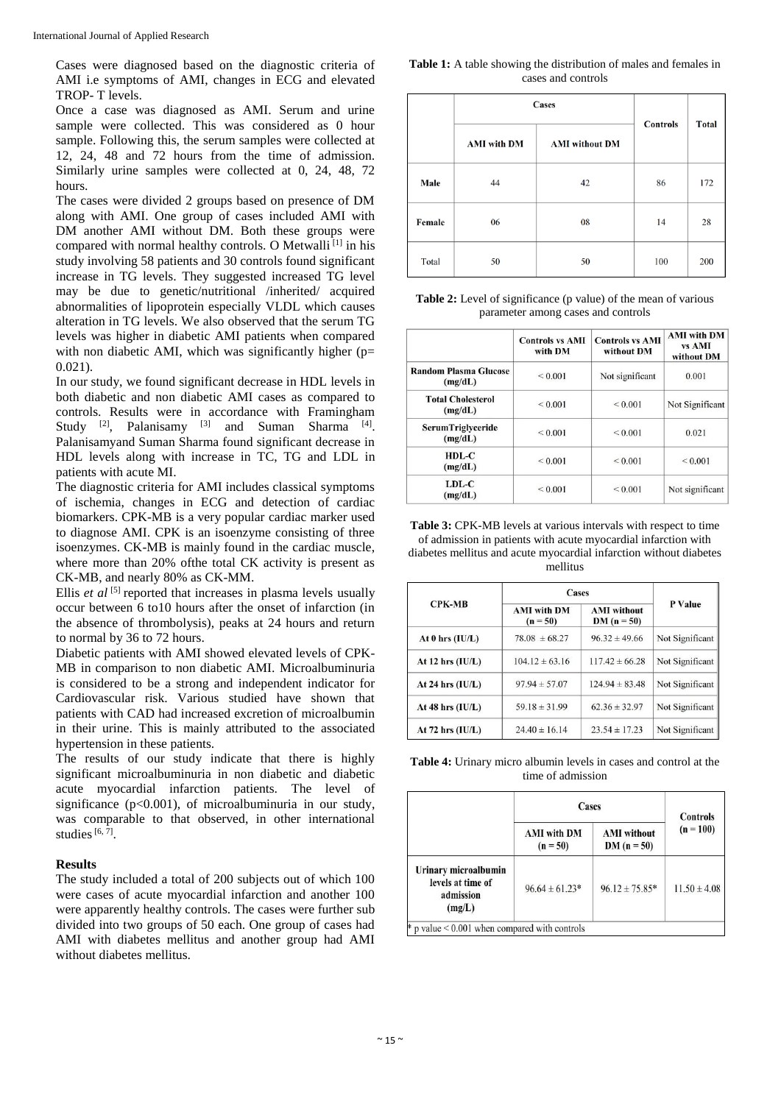Cases were diagnosed based on the diagnostic criteria of AMI i.e symptoms of AMI, changes in ECG and elevated TROP- T levels.

Once a case was diagnosed as AMI. Serum and urine sample were collected. This was considered as 0 hour sample. Following this, the serum samples were collected at 12, 24, 48 and 72 hours from the time of admission. Similarly urine samples were collected at 0, 24, 48, 72 hours.

The cases were divided 2 groups based on presence of DM along with AMI. One group of cases included AMI with DM another AMI without DM. Both these groups were compared with normal healthy controls. O Metwalli<sup>[1]</sup> in his study involving 58 patients and 30 controls found significant increase in TG levels. They suggested increased TG level may be due to genetic/nutritional /inherited/ acquired abnormalities of lipoprotein especially VLDL which causes alteration in TG levels. We also observed that the serum TG levels was higher in diabetic AMI patients when compared with non diabetic AMI, which was significantly higher ( $p=$ 0.021).

In our study, we found significant decrease in HDL levels in both diabetic and non diabetic AMI cases as compared to controls. Results were in accordance with Framingham Study  $[2]$ , Palanisamy  $[3]$  and Suman Sharma  $[4]$ . Palanisamyand Suman Sharma found significant decrease in HDL levels along with increase in TC, TG and LDL in patients with acute MI.

The diagnostic criteria for AMI includes classical symptoms of ischemia, changes in ECG and detection of cardiac biomarkers. CPK-MB is a very popular cardiac marker used to diagnose AMI. CPK is an isoenzyme consisting of three isoenzymes. CK-MB is mainly found in the cardiac muscle, where more than 20% ofthe total CK activity is present as CK-MB, and nearly 80% as CK-MM.

Ellis *et al*  $\left[5\right]$  reported that increases in plasma levels usually occur between 6 to10 hours after the onset of infarction (in the absence of thrombolysis), peaks at 24 hours and return to normal by 36 to 72 hours.

Diabetic patients with AMI showed elevated levels of CPK-MB in comparison to non diabetic AMI. Microalbuminuria is considered to be a strong and independent indicator for Cardiovascular risk. Various studied have shown that patients with CAD had increased excretion of microalbumin in their urine. This is mainly attributed to the associated hypertension in these patients.

The results of our study indicate that there is highly significant microalbuminuria in non diabetic and diabetic acute myocardial infarction patients. The level of significance (p<0.001), of microalbuminuria in our study, was comparable to that observed, in other international studies  $[6, 7]$ .

#### **Results**

The study included a total of 200 subjects out of which 100 were cases of acute myocardial infarction and another 100 were apparently healthy controls. The cases were further sub divided into two groups of 50 each. One group of cases had AMI with diabetes mellitus and another group had AMI without diabetes mellitus.

**Table 1:** A table showing the distribution of males and females in cases and controls

|               | <b>Cases</b>       |                       | <b>Controls</b> | <b>Total</b> |
|---------------|--------------------|-----------------------|-----------------|--------------|
|               | <b>AMI</b> with DM | <b>AMI</b> without DM |                 |              |
| Male          | 44                 | 42                    | 86              | 172          |
| <b>Female</b> | 06                 | 08                    | 14              | 28           |
| Total         | 50                 | 50                    | 100             | 200          |

**Table 2:** Level of significance (p value) of the mean of various parameter among cases and controls

|                                         | <b>Controls vs AMI</b><br>with DM | <b>Controls vs AMI</b><br>without DM | <b>AMI</b> with DM<br>vs AMI<br>without DM |
|-----------------------------------------|-----------------------------------|--------------------------------------|--------------------------------------------|
| <b>Random Plasma Glucose</b><br>(mg/dL) | ${}_{0.001}$                      | Not significant                      | 0.001                                      |
| <b>Total Cholesterol</b><br>(mg/dL)     | ${}_{0.001}$                      | ${}_{0.001}$                         | Not Significant                            |
| <b>SerumTriglyceride</b><br>(mg/dL)     | ${}_{0.001}$                      | ${}_{0.001}$                         | 0.021                                      |
| $HDL-C$<br>(mg/dL)                      | ${}_{0.001}$                      | ${}_{0.001}$                         | ${}_{0.001}$                               |
| LDL-C<br>(mg/dL)                        | ${}_{0.001}$                      | ${}_{0.001}$                         | Not significant                            |

**Table 3:** CPK-MB levels at various intervals with respect to time of admission in patients with acute myocardial infarction with diabetes mellitus and acute myocardial infarction without diabetes mellitus

|                      | Cases                            |                                  |                 |  |
|----------------------|----------------------------------|----------------------------------|-----------------|--|
| <b>CPK-MB</b>        | <b>AMI</b> with DM<br>$(n = 50)$ | <b>AMI</b> without<br>$DM(n=50)$ | P Value         |  |
| At $0$ hrs $(IU/L)$  | $78.08 \pm 68.27$                | $96.32 \pm 49.66$                | Not Significant |  |
| At $12$ hrs $(IU/L)$ | $104.12 \pm 63.16$               | $117.42 \pm 66.28$               | Not Significant |  |
| At 24 hrs $(IU/L)$   | $97.94 \pm 57.07$                | $124.94 \pm 83.48$               | Not Significant |  |
| At 48 hrs $(IU/L)$   | $59.18 \pm 31.99$                | $62.36 \pm 32.97$                | Not Significant |  |
| At $72$ hrs $(IU/L)$ | $24.40 \pm 16.14$                | $23.54 \pm 17.23$                | Not Significant |  |

**Table 4:** Urinary micro albumin levels in cases and control at the time of admission

|                                                                  | Cases                            |                                     | <b>Controls</b>  |
|------------------------------------------------------------------|----------------------------------|-------------------------------------|------------------|
|                                                                  | <b>AMI</b> with DM<br>$(n = 50)$ | <b>AMI</b> without<br>$DM (n = 50)$ | $(n = 100)$      |
| Urinary microalbumin<br>levels at time of<br>admission<br>(mg/L) | $96.64 \pm 61.23*$               | $96.12 \pm 75.85^*$                 | $11.50 \pm 4.08$ |